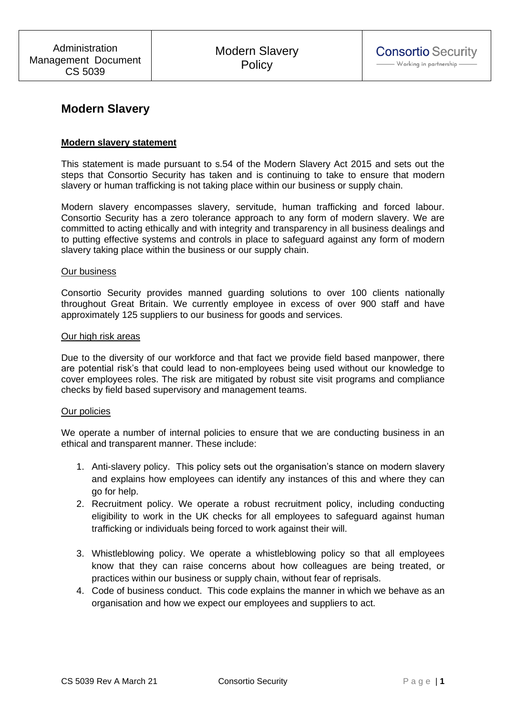# **Modern Slavery**

## **Modern slavery statement**

This statement is made pursuant to s.54 of the Modern Slavery Act 2015 and sets out the steps that Consortio Security has taken and is continuing to take to ensure that modern slavery or human trafficking is not taking place within our business or supply chain.

Modern slavery encompasses slavery, servitude, human trafficking and forced labour. Consortio Security has a zero tolerance approach to any form of modern slavery. We are committed to acting ethically and with integrity and transparency in all business dealings and to putting effective systems and controls in place to safeguard against any form of modern slavery taking place within the business or our supply chain.

#### Our business

Consortio Security provides manned guarding solutions to over 100 clients nationally throughout Great Britain. We currently employee in excess of over 900 staff and have approximately 125 suppliers to our business for goods and services.

#### Our high risk areas

Due to the diversity of our workforce and that fact we provide field based manpower, there are potential risk's that could lead to non-employees being used without our knowledge to cover employees roles. The risk are mitigated by robust site visit programs and compliance checks by field based supervisory and management teams.

#### Our policies

We operate a number of internal policies to ensure that we are conducting business in an ethical and transparent manner. These include:

- 1. Anti-slavery policy. This policy sets out the organisation's stance on modern slavery and explains how employees can identify any instances of this and where they can go for help.
- 2. Recruitment policy. We operate a robust recruitment policy, including conducting eligibility to work in the UK checks for all employees to safeguard against human trafficking or individuals being forced to work against their will.
- 3. Whistleblowing policy. We operate a whistleblowing policy so that all employees know that they can raise concerns about how colleagues are being treated, or practices within our business or supply chain, without fear of reprisals.
- 4. Code of business conduct. This code explains the manner in which we behave as an organisation and how we expect our employees and suppliers to act.